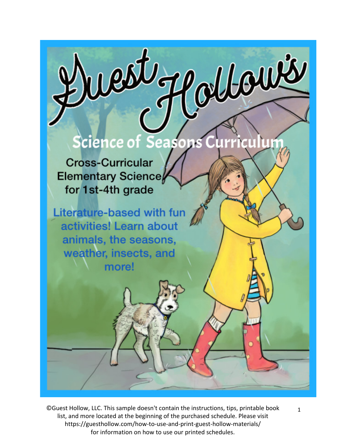## cience of Seasons urriculun

west of othows

**Cross-Curricular Elementary Science** for 1st-4th grade

**Literature-based with fun** activities! Learn about animals, the seasons, weather, insects, and more!

©Guest Hollow, LLC. This sample doesn't contain the instructions, tips, printable book  $1$ list, and more located at the beginning of the purchased schedule. Please visit https://guesthollow.com/how-to-use-and-print-guest-hollow-materials/ for information on how to use our printed schedules.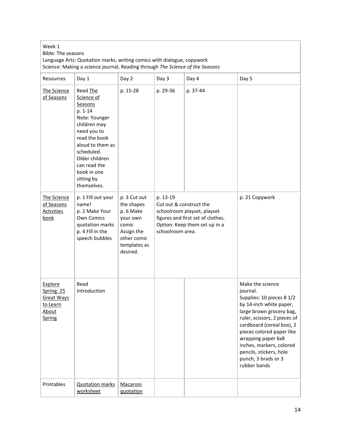| Week 1<br><b>Bible: The seasons</b><br>Language Arts: Quotation marks, writing comics with dialogue, copywork<br>Science: Making a science journal, Reading through The Science of the Seasons |                                                                                                                                                                                                                               |                                                                                                                       |                                                                                                                                                              |          |                                                                                                                                                                                                                                                                                                                                |
|------------------------------------------------------------------------------------------------------------------------------------------------------------------------------------------------|-------------------------------------------------------------------------------------------------------------------------------------------------------------------------------------------------------------------------------|-----------------------------------------------------------------------------------------------------------------------|--------------------------------------------------------------------------------------------------------------------------------------------------------------|----------|--------------------------------------------------------------------------------------------------------------------------------------------------------------------------------------------------------------------------------------------------------------------------------------------------------------------------------|
| <b>Resources</b>                                                                                                                                                                               | Day 1                                                                                                                                                                                                                         | Day 2                                                                                                                 | Day 3                                                                                                                                                        | Day 4    | Day 5                                                                                                                                                                                                                                                                                                                          |
| The Science<br>of Seasons                                                                                                                                                                      | Read The<br>Science of<br>Seasons<br>p. 1-14<br>Note: Younger<br>children may<br>need you to<br>read the book<br>aloud to them as<br>scheduled.<br>Older children<br>can read the<br>book in one<br>sitting by<br>themselves. | p. 15-28                                                                                                              | p. 29-36                                                                                                                                                     | p. 37-44 |                                                                                                                                                                                                                                                                                                                                |
| The Science<br>of Seasons<br><b>Activities</b><br>book                                                                                                                                         | p. 1 Fill out your<br>name!<br>p. 2 Make Your<br>Own Comics<br>quotation marks<br>p. 4 Fill in the<br>speech bubbles                                                                                                          | p. 3 Cut out<br>the shapes<br>p. 6 Make<br>your own<br>comic<br>Assign the<br>other comic<br>templates as<br>desired. | p. 13-19<br>Cut out & construct the<br>schoolroom playset, playset<br>figures and first set of clothes.<br>Option: Keep them set up in a<br>schoolroom area. |          | p. 21 Copywork                                                                                                                                                                                                                                                                                                                 |
| <b>Explore</b><br>Spring: 25<br><b>Great Ways</b><br>to Learn<br>About<br>Spring                                                                                                               | Read<br>Introduction                                                                                                                                                                                                          |                                                                                                                       |                                                                                                                                                              |          | Make the science<br>journal.<br>Supplies: 10 pieces 8 1/2<br>by 14-inch white paper,<br>large brown grocery bag,<br>ruler, scissors, 2 pieces of<br>cardboard (cereal box), 2<br>pieces colored paper like<br>wrapping paper 6x8<br>inches, markers, colored<br>pencils, stickers, hole<br>punch, 3 brads or 3<br>rubber bands |
| Printables                                                                                                                                                                                     | <b>Quotation marks</b><br>worksheet                                                                                                                                                                                           | Macaroni<br>quotation                                                                                                 |                                                                                                                                                              |          |                                                                                                                                                                                                                                                                                                                                |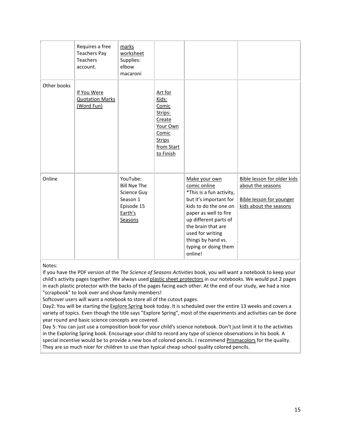|             | Requires a free<br><b>Teachers Pay</b><br><b>Teachers</b><br>account. | marks<br>worksheet<br>Supplies:<br>elbow<br>macaroni                                           |                                                                                                                 |                                                                                                                                                                                                                                                                   |                                                                                                               |
|-------------|-----------------------------------------------------------------------|------------------------------------------------------------------------------------------------|-----------------------------------------------------------------------------------------------------------------|-------------------------------------------------------------------------------------------------------------------------------------------------------------------------------------------------------------------------------------------------------------------|---------------------------------------------------------------------------------------------------------------|
| Other books | If You Were<br><b>Quotation Marks</b><br>(Word Fun)                   |                                                                                                | Art for<br>Kids:<br>Comic<br>Strips:<br>Create<br>Your Own<br>Comic<br><b>Strips</b><br>from Start<br>to Finish |                                                                                                                                                                                                                                                                   |                                                                                                               |
| Online      |                                                                       | YouTube:<br><b>Bill Nye The</b><br>Science Guy<br>Season 1<br>Episode 15<br>Earth's<br>Seasons |                                                                                                                 | Make your own<br>comic online<br>*This is a fun activity,<br>but it's important for<br>kids to do the one on<br>paper as well to fire<br>up different parts of<br>the brain that are<br>used for writing<br>things by hand vs.<br>typing or doing them<br>online! | Bible lesson for older kids<br>about the seasons<br><b>Bible lesson for younger</b><br>kids about the seasons |

## Notes:

If you have the PDF version of the *The Science of Seasons Activities* book, you will want a notebook to keep your child's activity pages together. We always use[d plastic sheet protectors](http://amzn.to/2pkB4qo) in our notebooks. We would put 2 pages in each plastic protector with the backs of the pages facing each other. At the end of our study, we had a nice "scrapbook" to look over and show family members!

Softcover users will want a notebook to store all of the cutout pages.

Day2: You will be starting th[e Explore Spring](http://www.amazon.com/gp/product/B005UOAKA6/ref=as_li_tl?ie=UTF8&camp=1789&creative=390957&creativeASIN=B005UOAKA6&linkCode=as2&tag=ouloba-20&linkId=D33PDWLIVEANQHBD) book today. It is scheduled over the entire 13 weeks and covers a variety of topics. Even though the title says "Explore Spring", most of the experiments and activities can be done year round and basic science concepts are covered.

Day 5: You can just use a composition book for your child's science notebook. Don't just limit it to the activities in the Exploring Spring book. Encourage your child to record any type of science observations in his book. A special incentive would be to provide a new box of colored pencils. I recommend [Prismacolors](http://amzn.to/2FYNk9Q) for the quality. They are so much nicer for children to use than typical cheap school quality colored pencils.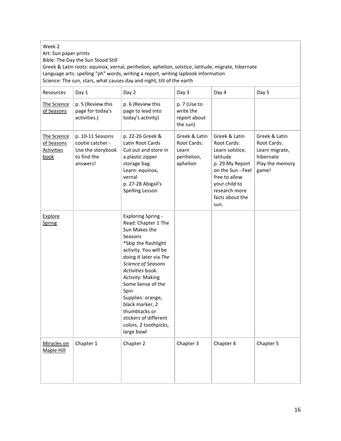## Week 2

Art: Sun paper prints

Bible: The Day the Sun Stood Still

Greek & Latin roots: equinox, vernal, perihelion, aphelion, solstice, latitude, migrate, hibernate Language arts: spelling "ph" words, writing a report, writing lapbook information Science: The sun, stars, what causes day and night, tilt of the earth

| Resources                                              | Day 1                                                                                | Day 2                                                                                                                                                                                                                                                                                                                                                                              | Day 3                                                            | Day 4                                                                                                                                                                             | Day 5                                                                                   |
|--------------------------------------------------------|--------------------------------------------------------------------------------------|------------------------------------------------------------------------------------------------------------------------------------------------------------------------------------------------------------------------------------------------------------------------------------------------------------------------------------------------------------------------------------|------------------------------------------------------------------|-----------------------------------------------------------------------------------------------------------------------------------------------------------------------------------|-----------------------------------------------------------------------------------------|
| The Science<br>of Seasons                              | p. 5 (Review this<br>page for today's<br>activities.)                                | p. 6 (Review this<br>page to lead into<br>today's activity)                                                                                                                                                                                                                                                                                                                        | p. 7 (Use to<br>write the<br>report about<br>the sun)            |                                                                                                                                                                                   |                                                                                         |
| The Science<br>of Seasons<br><b>Activities</b><br>book | p. 10-11 Seasons<br>cootie catcher -<br>Use the storybook<br>to find the<br>answers! | p. 22-26 Greek &<br>Latin Root Cards<br>Cut out and store in<br>a plastic zipper<br>storage bag.<br>Learn: equinox,<br>vernal<br>p. 27-28 Abigail's<br>Spelling Lesson                                                                                                                                                                                                             | Greek & Latin<br>Root Cards:<br>Learn<br>perihelion,<br>aphelion | Greek & Latin<br>Root Cards:<br>Learn solstice,<br>latitude<br>p. 29 My Report<br>on the Sun - Feel<br>free to allow<br>your child to<br>research more<br>facts about the<br>sun. | Greek & Latin<br>Root Cards:<br>Learn migrate,<br>hibernate<br>Play the memory<br>game! |
| Explore<br>Spring                                      |                                                                                      | <b>Exploring Spring -</b><br>Read: Chapter 1 The<br>Sun Makes the<br>Seasons<br>*Skip the flashlight<br>activity. You will be<br>doing it later via The<br>Science of Seasons<br>Activities book.<br><b>Activity: Making</b><br>Some Sense of the<br>Spin<br>Supplies: orange,<br>black marker, 2<br>thumbtacks or<br>stickers of different<br>colors, 2 toothpicks,<br>large bowl |                                                                  |                                                                                                                                                                                   |                                                                                         |
| Miracles on<br>Maple Hill                              | Chapter 1                                                                            | Chapter 2                                                                                                                                                                                                                                                                                                                                                                          | Chapter 3                                                        | Chapter 4                                                                                                                                                                         | Chapter 5                                                                               |